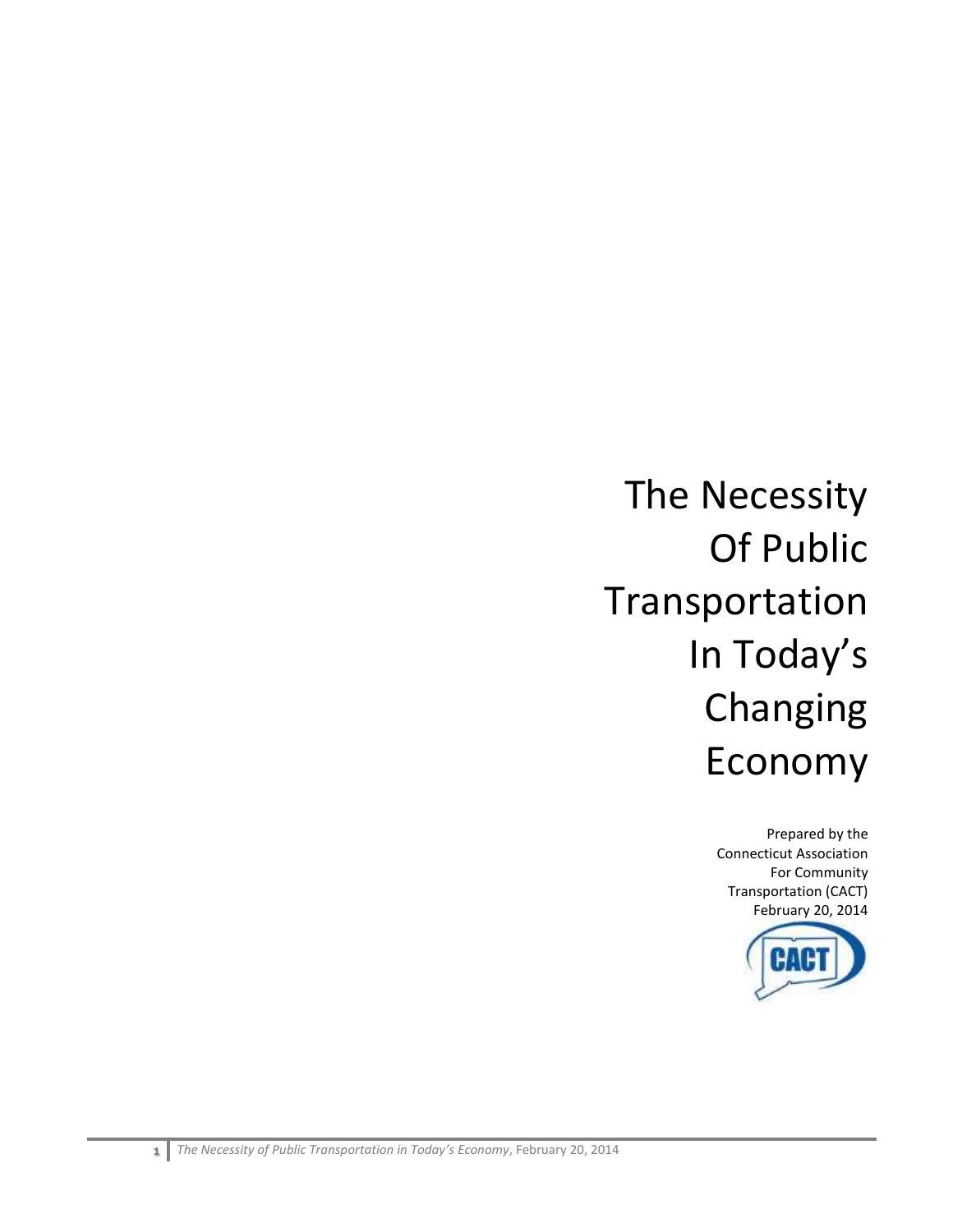# The Necessity Of Public Transportation In Today's Changing Economy

Prepared by the Connecticut Association For Community Transportation (CACT) February 20, 2014

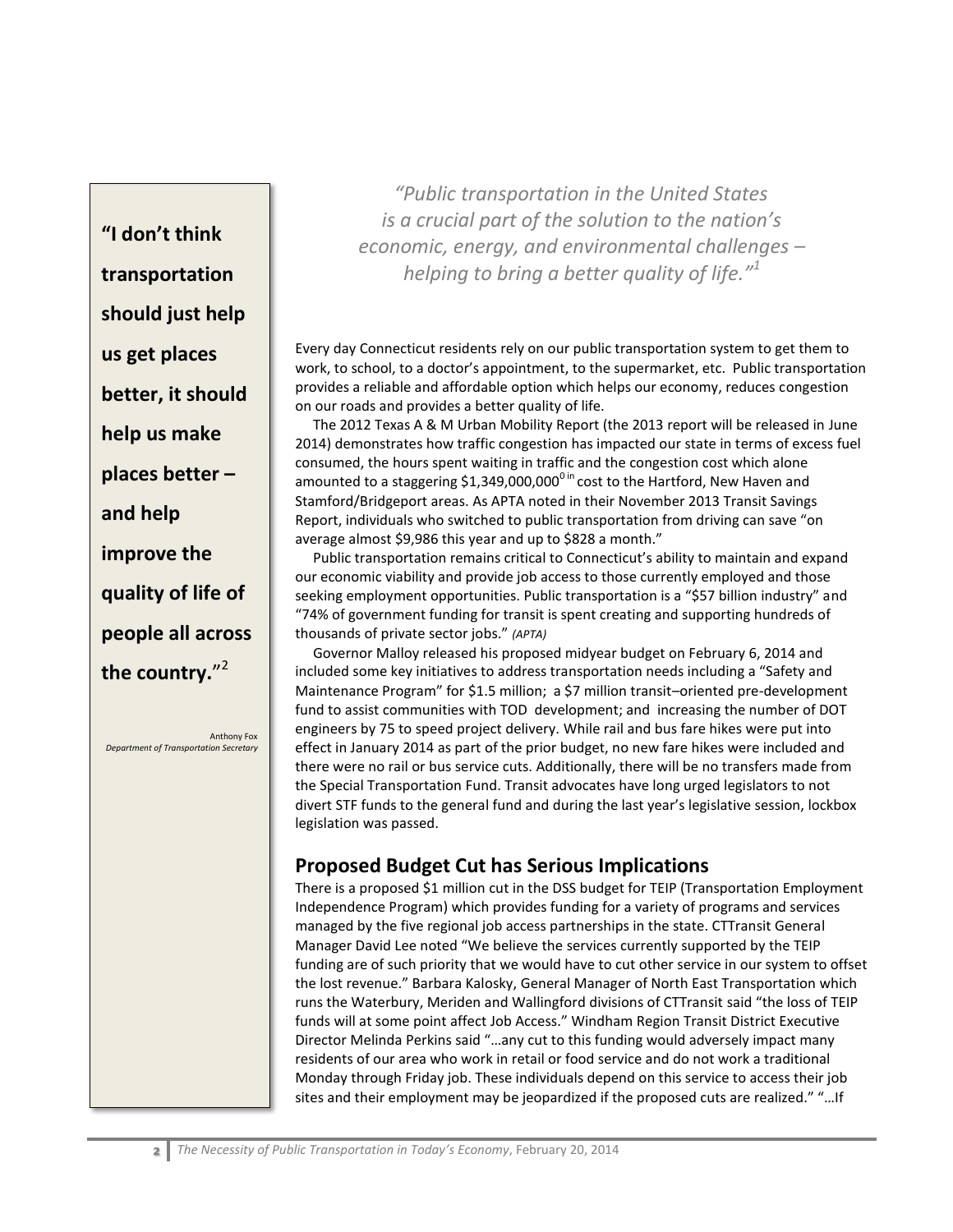**"I don't think transportation should just help us get places better, it should help us make places better – and help improve the quality of life of people all across the country.**" 2

Anthony Fox *Department of Transportation Secretary* 

*"Public transportation in the United States is a crucial part of the solution to the nation's economic, energy, and environmental challenges – helping to bring a better quality of life."<sup>1</sup>*

Every day Connecticut residents rely on our public transportation system to get them to work, to school, to a doctor's appointment, to the supermarket, etc. Public transportation provides a reliable and affordable option which helps our economy, reduces congestion on our roads and provides a better quality of life.

 The 2012 Texas A & M Urban Mobility Report (the 2013 report will be released in June 2014) demonstrates how traffic congestion has impacted our state in terms of excess fuel consumed, the hours spent waiting in traffic and the congestion cost which alone amounted to a staggering \$1,349,000,000<sup>0 in</sup> cost to the Hartford, New Haven and Stamford/Bridgeport areas. As APTA noted in their November 2013 Transit Savings Report, individuals who switched to public transportation from driving can save "on average almost \$9,986 this year and up to \$828 a month."

 Public transportation remains critical to Connecticut's ability to maintain and expand our economic viability and provide job access to those currently employed and those seeking employment opportunities. Public transportation is a "\$57 billion industry" and "74% of government funding for transit is spent creating and supporting hundreds of thousands of private sector jobs." *(APTA)*

 Governor Malloy released his proposed midyear budget on February 6, 2014 and included some key initiatives to address transportation needs including a "Safety and Maintenance Program" for \$1.5 million; a \$7 million transit–oriented pre-development fund to assist communities with TOD development; and increasing the number of DOT engineers by 75 to speed project delivery. While rail and bus fare hikes were put into effect in January 2014 as part of the prior budget, no new fare hikes were included and there were no rail or bus service cuts. Additionally, there will be no transfers made from the Special Transportation Fund. Transit advocates have long urged legislators to not divert STF funds to the general fund and during the last year's legislative session, lockbox legislation was passed.

# **Proposed Budget Cut has Serious Implications**

There is a proposed \$1 million cut in the DSS budget for TEIP (Transportation Employment Independence Program) which provides funding for a variety of programs and services managed by the five regional job access partnerships in the state. CTTransit General Manager David Lee noted "We believe the services currently supported by the TEIP funding are of such priority that we would have to cut other service in our system to offset the lost revenue." Barbara Kalosky, General Manager of North East Transportation which runs the Waterbury, Meriden and Wallingford divisions of CTTransit said "the loss of TEIP funds will at some point affect Job Access." Windham Region Transit District Executive Director Melinda Perkins said "…any cut to this funding would adversely impact many residents of our area who work in retail or food service and do not work a traditional Monday through Friday job. These individuals depend on this service to access their job sites and their employment may be jeopardized if the proposed cuts are realized." "…If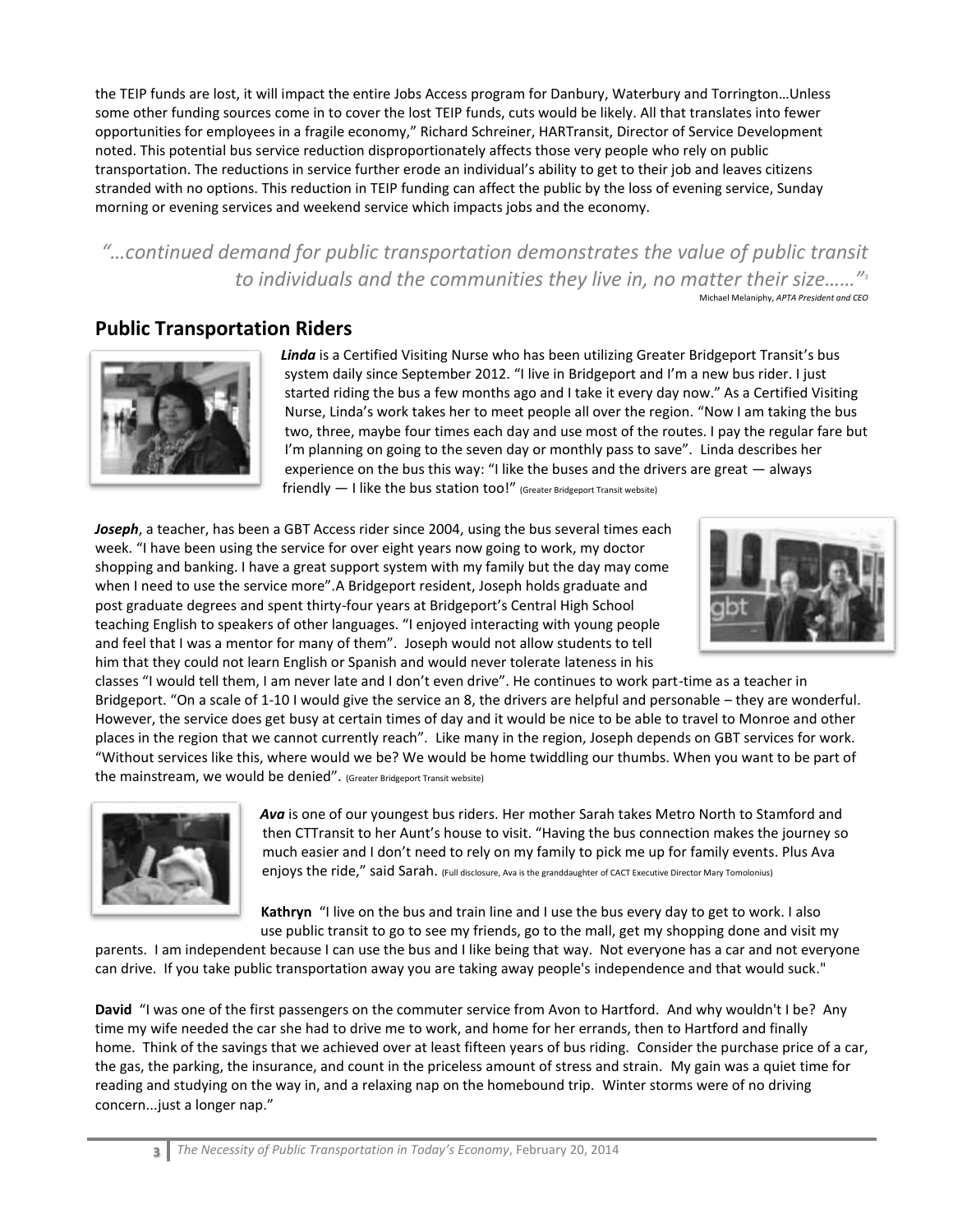the TEIP funds are lost, it will impact the entire Jobs Access program for Danbury, Waterbury and Torrington…Unless some other funding sources come in to cover the lost TEIP funds, cuts would be likely. All that translates into fewer opportunities for employees in a fragile economy," Richard Schreiner, HARTransit, Director of Service Development noted. This potential bus service reduction disproportionately affects those very people who rely on public transportation. The reductions in service further erode an individual's ability to get to their job and leaves citizens stranded with no options. This reduction in TEIP funding can affect the public by the loss of evening service, Sunday morning or evening services and weekend service which impacts jobs and the economy.

*"…continued demand for public transportation demonstrates the value of public transit to individuals and the communities they live in, no matter their size……"*<sup>3</sup> Michael Melaniphy, *APTA President and CEO*

# **Public Transportation Riders**



*Linda* is a Certified Visiting Nurse who has been utilizing Greater Bridgeport Transit's bus system daily since September 2012. "I live in Bridgeport and I'm a new bus rider. I just started riding the bus a few months ago and I take it every day now." As a Certified Visiting Nurse, Linda's work takes her to meet people all over the region. "Now I am taking the bus two, three, maybe four times each day and use most of the routes. I pay the regular fare but I'm planning on going to the seven day or monthly pass to save". Linda describes her experience on the bus this way: "I like the buses and the drivers are great — always friendly — I like the bus station too!" (Greater Bridgeport Transit website)

Joseph, a teacher, has been a GBT Access rider since 2004, using the bus several times each week. "I have been using the service for over eight years now going to work, my doctor shopping and banking. I have a great support system with my family but the day may come when I need to use the service more".A Bridgeport resident, Joseph holds graduate and post graduate degrees and spent thirty-four years at Bridgeport's Central High School teaching English to speakers of other languages. "I enjoyed interacting with young people and feel that I was a mentor for many of them". Joseph would not allow students to tell him that they could not learn English or Spanish and would never tolerate lateness in his



classes "I would tell them, I am never late and I don't even drive". He continues to work part-time as a teacher in Bridgeport. "On a scale of 1-10 I would give the service an 8, the drivers are helpful and personable – they are wonderful. However, the service does get busy at certain times of day and it would be nice to be able to travel to Monroe and other places in the region that we cannot currently reach". Like many in the region, Joseph depends on GBT services for work. "Without services like this, where would we be? We would be home twiddling our thumbs. When you want to be part of the mainstream, we would be denied". (Greater Bridgeport Transit website)



*Ava* is one of our youngest bus riders. Her mother Sarah takes Metro North to Stamford and then CTTransit to her Aunt's house to visit. "Having the bus connection makes the journey so much easier and I don't need to rely on my family to pick me up for family events. Plus Ava enjoys the ride," said Sarah. (Full disclosure, Ava is the granddaughter of CACT Executive Director Mary Tomolonius)

**Kathryn** "I live on the bus and train line and I use the bus every day to get to work. I also use public transit to go to see my friends, go to the mall, get my shopping done and visit my

parents. I am independent because I can use the bus and I like being that way. Not everyone has a car and not everyone can drive. If you take public transportation away you are taking away people's independence and that would suck."

**David** "I was one of the first passengers on the commuter service from Avon to Hartford. And why wouldn't I be? Any time my wife needed the car she had to drive me to work, and home for her errands, then to Hartford and finally home. Think of the savings that we achieved over at least fifteen years of bus riding. Consider the purchase price of a car, the gas, the parking, the insurance, and count in the priceless amount of stress and strain. My gain was a quiet time for reading and studying on the way in, and a relaxing nap on the homebound trip. Winter storms were of no driving concern...just a longer nap."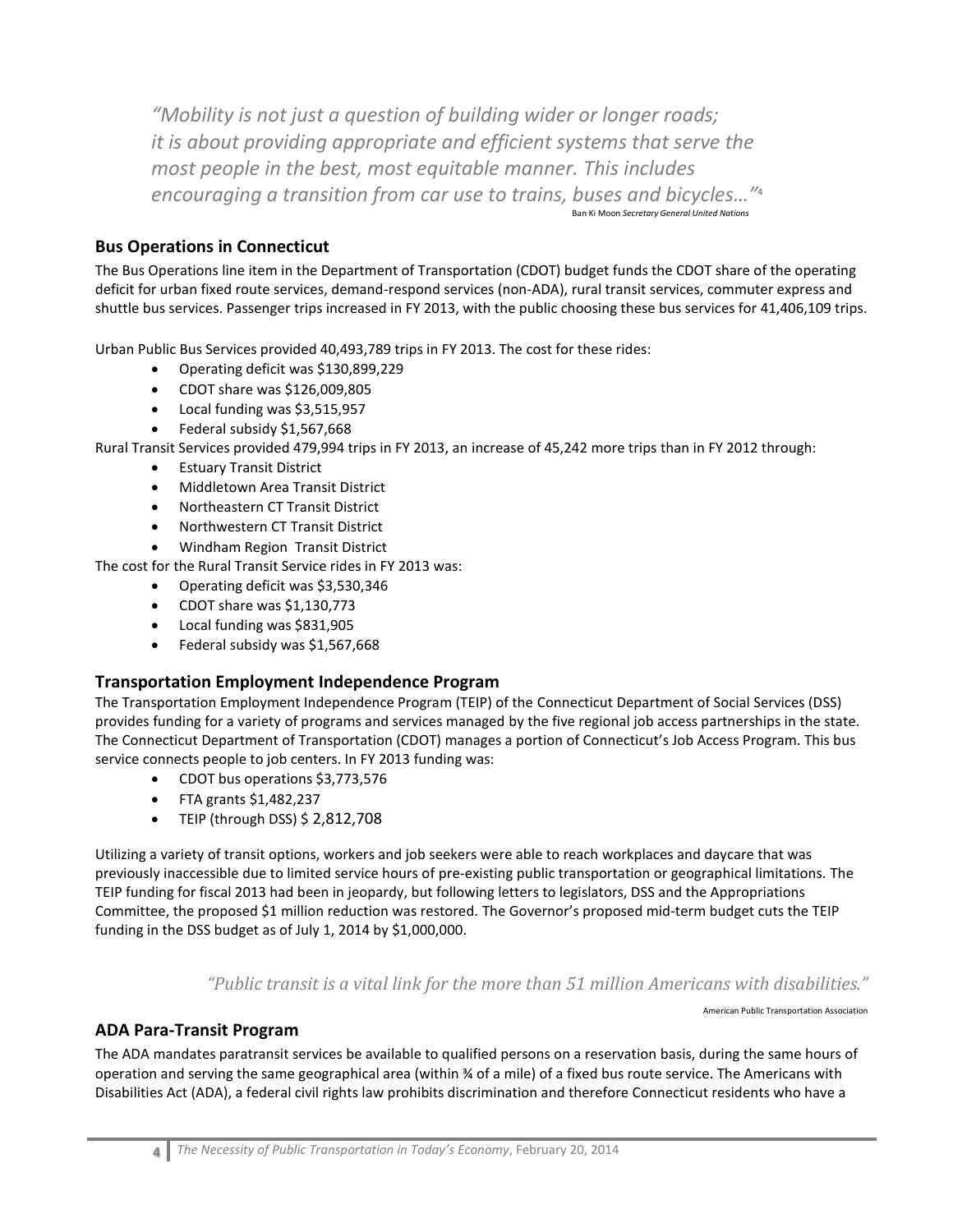*"Mobility is not just a question of building wider or longer roads; it is about providing appropriate and efficient systems that serve the most people in the best, most equitable manner. This includes encouraging a transition from car use to trains, buses and bicycles…"***<sup>4</sup>** Ban Ki Moon *Secretary General United Nations*

### **Bus Operations in Connecticut**

The Bus Operations line item in the Department of Transportation (CDOT) budget funds the CDOT share of the operating deficit for urban fixed route services, demand-respond services (non-ADA), rural transit services, commuter express and shuttle bus services. Passenger trips increased in FY 2013, with the public choosing these bus services for 41,406,109 trips.

Urban Public Bus Services provided 40,493,789 trips in FY 2013. The cost for these rides:

- Operating deficit was \$130,899,229
- CDOT share was \$126,009,805
- Local funding was \$3,515,957
- Federal subsidy \$1,567,668

Rural Transit Services provided 479,994 trips in FY 2013, an increase of 45,242 more trips than in FY 2012 through:

- Estuary Transit District
- Middletown Area Transit District
- Northeastern CT Transit District
- Northwestern CT Transit District
- Windham Region Transit District

The cost for the Rural Transit Service rides in FY 2013 was:

- Operating deficit was \$3,530,346
- CDOT share was \$1,130,773
- Local funding was \$831,905
- Federal subsidy was \$1,567,668

#### **Transportation Employment Independence Program**

The Transportation Employment Independence Program (TEIP) of the Connecticut Department of Social Services (DSS) provides funding for a variety of programs and services managed by the five regional job access partnerships in the state. The Connecticut Department of Transportation (CDOT) manages a portion of Connecticut's Job Access Program. This bus service connects people to job centers. In FY 2013 funding was:

- CDOT bus operations \$3,773,576
- $\bullet$  FTA grants \$1,482,237
- $\bullet$  TEIP (through DSS) \$ 2,812,708

Utilizing a variety of transit options, workers and job seekers were able to reach workplaces and daycare that was previously inaccessible due to limited service hours of pre-existing public transportation or geographical limitations. The TEIP funding for fiscal 2013 had been in jeopardy, but following letters to legislators, DSS and the Appropriations Committee, the proposed \$1 million reduction was restored. The Governor's proposed mid-term budget cuts the TEIP funding in the DSS budget as of July 1, 2014 by \$1,000,000.

#### *"Public transit is a vital link for the more than 51 million Americans with disabilities."*

American Public Transportation Association

#### **ADA Para-Transit Program**

The ADA mandates paratransit services be available to qualified persons on a reservation basis, during the same hours of operation and serving the same geographical area (within ¾ of a mile) of a fixed bus route service. The Americans with Disabilities Act (ADA), a federal civil rights law prohibits discrimination and therefore Connecticut residents who have a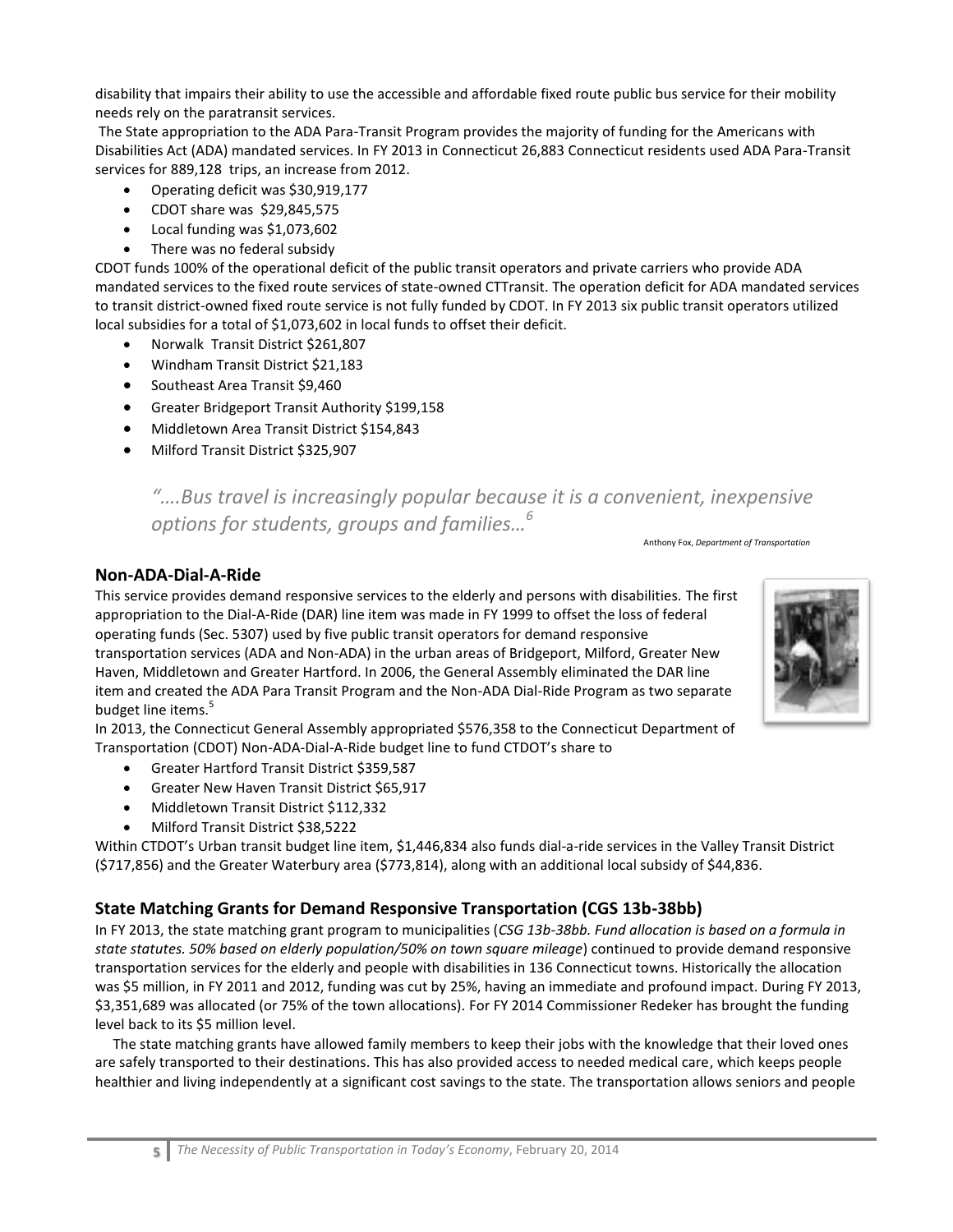disability that impairs their ability to use the accessible and affordable fixed route public bus service for their mobility needs rely on the paratransit services.

The State appropriation to the ADA Para-Transit Program provides the majority of funding for the Americans with Disabilities Act (ADA) mandated services. In FY 2013 in Connecticut 26,883 Connecticut residents used ADA Para-Transit services for 889,128 trips, an increase from 2012.

- Operating deficit was \$30,919,177
- CDOT share was \$29,845,575
- Local funding was \$1,073,602
- There was no federal subsidy

CDOT funds 100% of the operational deficit of the public transit operators and private carriers who provide ADA mandated services to the fixed route services of state-owned CTTransit. The operation deficit for ADA mandated services to transit district-owned fixed route service is not fully funded by CDOT. In FY 2013 six public transit operators utilized local subsidies for a total of \$1,073,602 in local funds to offset their deficit.

- Norwalk Transit District \$261,807
- Windham Transit District \$21,183
- Southeast Area Transit \$9,460
- Greater Bridgeport Transit Authority \$199,158
- Middletown Area Transit District \$154,843
- Milford Transit District \$325,907

# *"….Bus travel is increasingly popular because it is a convenient, inexpensive options for students, groups and families…<sup>6</sup>*

Anthony Fox, *Department of Transportation*

#### **Non-ADA-Dial-A-Ride**

This service provides demand responsive services to the elderly and persons with disabilities. The first appropriation to the Dial-A-Ride (DAR) line item was made in FY 1999 to offset the loss of federal operating funds (Sec. 5307) used by five public transit operators for demand responsive transportation services (ADA and Non-ADA) in the urban areas of Bridgeport, Milford, Greater New Haven, Middletown and Greater Hartford. In 2006, the General Assembly eliminated the DAR line item and created the ADA Para Transit Program and the Non-ADA Dial-Ride Program as two separate budget line items.<sup>5</sup>

In 2013, the Connecticut General Assembly appropriated \$576,358 to the Connecticut Department of Transportation (CDOT) Non-ADA-Dial-A-Ride budget line to fund CTDOT's share to

- Greater Hartford Transit District \$359,587
- Greater New Haven Transit District \$65,917
- Middletown Transit District \$112,332
- Milford Transit District \$38,5222

Within CTDOT's Urban transit budget line item, \$1,446,834 also funds dial-a-ride services in the Valley Transit District (\$717,856) and the Greater Waterbury area (\$773,814), along with an additional local subsidy of \$44,836.

## **State Matching Grants for Demand Responsive Transportation (CGS 13b-38bb)**

In FY 2013, the state matching grant program to municipalities (*CSG 13b-38bb. Fund allocation is based on a formula in state statutes. 50% based on elderly population/50% on town square mileage*) continued to provide demand responsive transportation services for the elderly and people with disabilities in 136 Connecticut towns. Historically the allocation was \$5 million, in FY 2011 and 2012, funding was cut by 25%, having an immediate and profound impact. During FY 2013, \$3,351,689 was allocated (or 75% of the town allocations). For FY 2014 Commissioner Redeker has brought the funding level back to its \$5 million level.

 The state matching grants have allowed family members to keep their jobs with the knowledge that their loved ones are safely transported to their destinations. This has also provided access to needed medical care, which keeps people healthier and living independently at a significant cost savings to the state. The transportation allows seniors and people

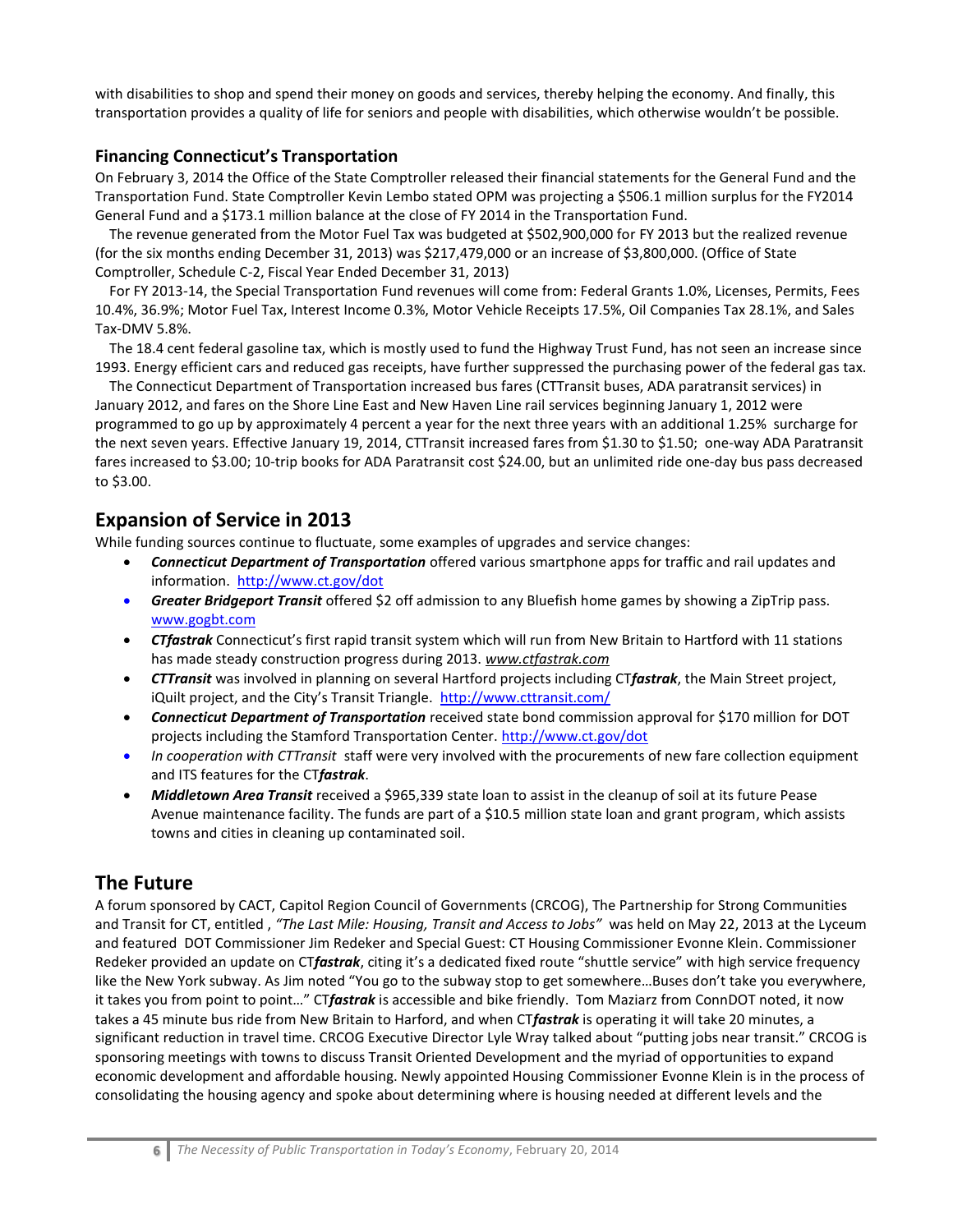with disabilities to shop and spend their money on goods and services, thereby helping the economy. And finally, this transportation provides a quality of life for seniors and people with disabilities, which otherwise wouldn't be possible.

#### **Financing Connecticut's Transportation**

On February 3, 2014 the Office of the State Comptroller released their financial statements for the General Fund and the Transportation Fund. State Comptroller Kevin Lembo stated OPM was projecting a \$506.1 million surplus for the FY2014 General Fund and a \$173.1 million balance at the close of FY 2014 in the Transportation Fund.

 The revenue generated from the Motor Fuel Tax was budgeted at \$502,900,000 for FY 2013 but the realized revenue (for the six months ending December 31, 2013) was \$217,479,000 or an increase of \$3,800,000. (Office of State Comptroller, Schedule C-2, Fiscal Year Ended December 31, 2013)

 For FY 2013-14, the Special Transportation Fund revenues will come from: Federal Grants 1.0%, Licenses, Permits, Fees 10.4%, 36.9%; Motor Fuel Tax, Interest Income 0.3%, Motor Vehicle Receipts 17.5%, Oil Companies Tax 28.1%, and Sales Tax-DMV 5.8%.

 The 18.4 cent federal gasoline tax, which is mostly used to fund the Highway Trust Fund, has not seen an increase since 1993. Energy efficient cars and reduced gas receipts, have further suppressed the purchasing power of the federal gas tax.

 The Connecticut Department of Transportation increased bus fares (CTTransit buses, ADA paratransit services) in January 2012, and fares on the Shore Line East and New Haven Line rail services beginning January 1, 2012 were programmed to go up by approximately 4 percent a year for the next three years with an additional 1.25% surcharge for the next seven years. Effective January 19, 2014, CTTransit increased fares from \$1.30 to \$1.50; one-way ADA Paratransit fares increased to \$3.00; 10-trip books for ADA Paratransit cost \$24.00, but an unlimited ride one-day bus pass decreased to \$3.00.

# **Expansion of Service in 2013**

While funding sources continue to fluctuate, some examples of upgrades and service changes:

- *Connecticut Department of Transportation* offered various smartphone apps for traffic and rail updates and information.<http://www.ct.gov/dot>
- *Greater Bridgeport Transit* offered \$2 off admission to any Bluefish home games by showing a ZipTrip pass. [www.gogbt.com](http://www.gogbt.com/)
- *CTfastrak* Connecticut's first rapid transit system which will run from New Britain to Hartford with 11 stations has made steady construction progress during 2013. *[www.ctfastrak.com](http://www.ctfastrak.com/)*
- *CTTransit* was involved in planning on several Hartford projects including CT*fastrak*, the Main Street project, iQuilt project, and the City's Transit Triangle. <http://www.cttransit.com/>
- *Connecticut Department of Transportation* received state bond commission approval for \$170 million for DOT projects including the Stamford Transportation Center.<http://www.ct.gov/dot>
- *In cooperation with CTTransit* staff were very involved with the procurements of new fare collection equipment and ITS features for the CT*fastrak*.
- Middletown Area Transit received a \$965,339 state loan to assist in the cleanup of soil at its future Pease Avenue maintenance facility. The funds are part of a \$10.5 million state loan and grant program, which assists towns and cities in cleaning up contaminated soil.

# **The Future**

A forum sponsored by CACT, Capitol Region Council of Governments (CRCOG), The Partnership for Strong Communities and Transit for CT, entitled , *"The Last Mile: Housing, Transit and Access to Jobs"* was held on May 22, 2013 at the Lyceum and featured DOT Commissioner Jim Redeker and Special Guest: CT Housing Commissioner Evonne Klein. Commissioner Redeker provided an update on CT*fastrak*, citing it's a dedicated fixed route "shuttle service" with high service frequency like the New York subway. As Jim noted "You go to the subway stop to get somewhere…Buses don't take you everywhere, it takes you from point to point…" CT*fastrak* is accessible and bike friendly. Tom Maziarz from ConnDOT noted, it now takes a 45 minute bus ride from New Britain to Harford, and when CT*fastrak* is operating it will take 20 minutes, a significant reduction in travel time. CRCOG Executive Director Lyle Wray talked about "putting jobs near transit." CRCOG is sponsoring meetings with towns to discuss Transit Oriented Development and the myriad of opportunities to expand economic development and affordable housing. Newly appointed Housing Commissioner Evonne Klein is in the process of consolidating the housing agency and spoke about determining where is housing needed at different levels and the